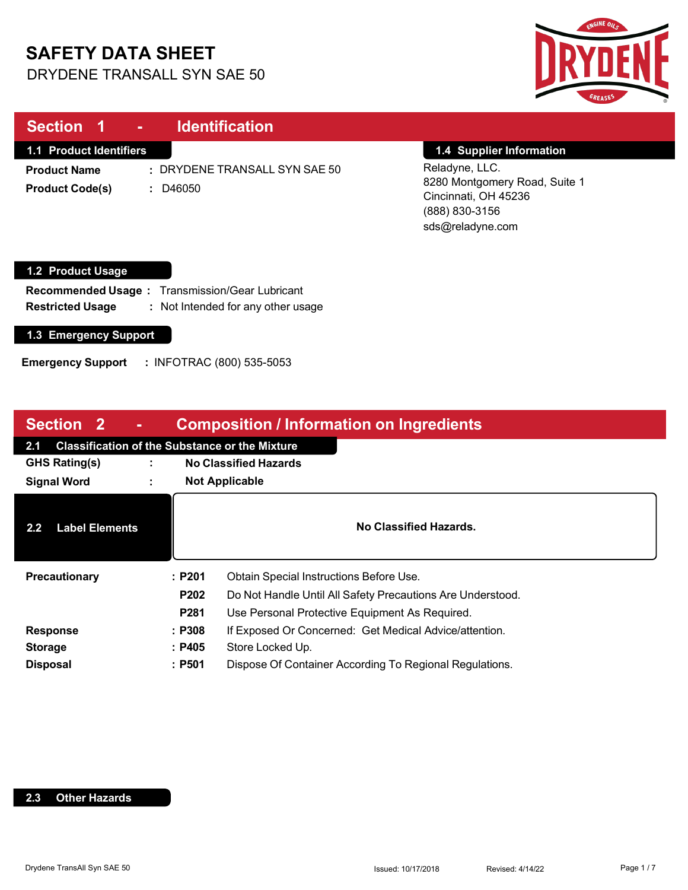# **SAFETY DATA SHEET**

DRYDENE TRANSALL SYN SAE 50



| Section 1<br><b>Identification</b><br>$\sim$                                                                                     |                                                                                                               |  |  |
|----------------------------------------------------------------------------------------------------------------------------------|---------------------------------------------------------------------------------------------------------------|--|--|
| <b>1.1 Product Identifiers</b>                                                                                                   | 1.4 Supplier Information                                                                                      |  |  |
| : DRYDENE TRANSALL SYN SAE 50<br><b>Product Name</b><br><b>Product Code(s)</b><br>D46050<br>÷.                                   | Reladyne, LLC.<br>8280 Montgomery Road, Suite 1<br>Cincinnati, OH 45236<br>(888) 830-3156<br>sds@reladyne.com |  |  |
| 1.2 Product Usage                                                                                                                |                                                                                                               |  |  |
| <b>Transmission/Gear Lubricant</b><br><b>Recommended Usage:</b><br>: Not Intended for any other usage<br><b>Restricted Usage</b> |                                                                                                               |  |  |
| 1.3 Emergency Support                                                                                                            |                                                                                                               |  |  |

**Emergency Support :** INFOTRAC (800) 535-5053

| <b>Composition / Information on Ingredients</b><br><b>Section 2</b><br>$\blacksquare$ |                |                                                                    |
|---------------------------------------------------------------------------------------|----------------|--------------------------------------------------------------------|
| 2.1                                                                                   |                | <b>Classification of the Substance or the Mixture</b>              |
| <b>GHS Rating(s)</b>                                                                  | $\blacksquare$ | <b>No Classified Hazards</b>                                       |
| <b>Signal Word</b>                                                                    | ٠.             | <b>Not Applicable</b>                                              |
| <b>Label Elements</b><br>$2.2\phantom{0}$                                             |                | No Classified Hazards.                                             |
| Precautionary                                                                         |                | Obtain Special Instructions Before Use.<br>:P201                   |
|                                                                                       |                | P202<br>Do Not Handle Until All Safety Precautions Are Understood. |
|                                                                                       |                | <b>P281</b><br>Use Personal Protective Equipment As Required.      |
| <b>Response</b>                                                                       |                | If Exposed Or Concerned: Get Medical Advice/attention.<br>: P308   |
| <b>Storage</b>                                                                        |                | Store Locked Up.<br>: P405                                         |
| <b>Disposal</b>                                                                       |                | :P501<br>Dispose Of Container According To Regional Regulations.   |

#### **2.3 Other Hazards**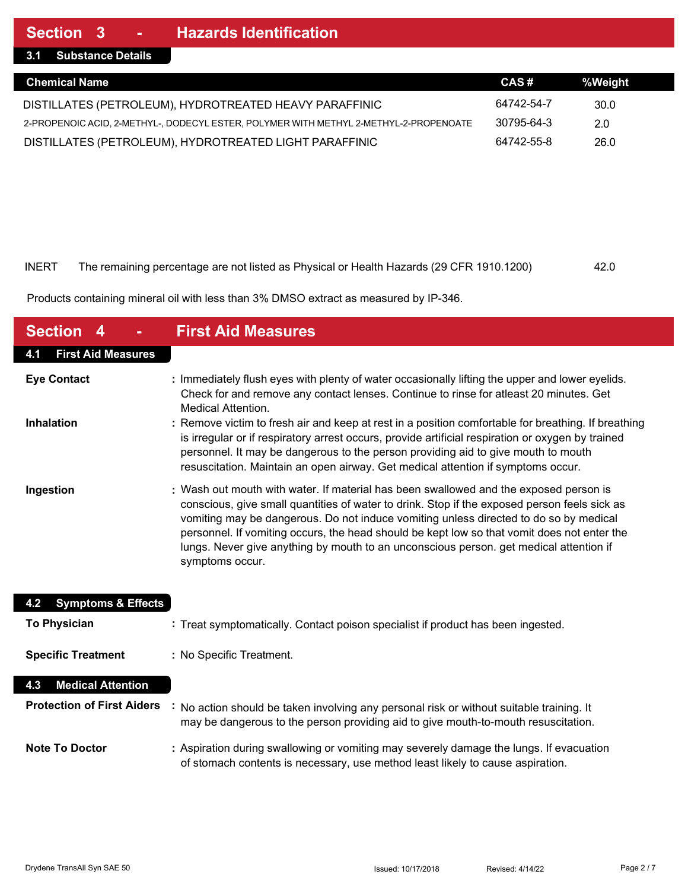**3.1 Substance Details**

| <b>Chemical Name</b>                                                                  | CAS#       | %Weight |  |
|---------------------------------------------------------------------------------------|------------|---------|--|
| DISTILLATES (PETROLEUM), HYDROTREATED HEAVY PARAFFINIC                                | 64742-54-7 | 30.0    |  |
| 2-PROPENOIC ACID, 2-METHYL-, DODECYL ESTER, POLYMER WITH METHYL 2-METHYL-2-PROPENOATE | 30795-64-3 | 2.0     |  |
| DISTILLATES (PETROLEUM), HYDROTREATED LIGHT PARAFFINIC                                | 64742-55-8 | 26.0    |  |

#### INERT The remaining percentage are not listed as Physical or Health Hazards (29 CFR 1910.1200) 42.0

Products containing mineral oil with less than 3% DMSO extract as measured by IP-346.

| <b>Section</b>                       | <b>First Aid Measures</b>                                                                                                                                                                                                                                                                                                                                                                                                                                                                  |
|--------------------------------------|--------------------------------------------------------------------------------------------------------------------------------------------------------------------------------------------------------------------------------------------------------------------------------------------------------------------------------------------------------------------------------------------------------------------------------------------------------------------------------------------|
| <b>First Aid Measures</b><br>4.1     |                                                                                                                                                                                                                                                                                                                                                                                                                                                                                            |
| <b>Eye Contact</b>                   | : Immediately flush eyes with plenty of water occasionally lifting the upper and lower eyelids.<br>Check for and remove any contact lenses. Continue to rinse for atleast 20 minutes. Get<br><b>Medical Attention.</b>                                                                                                                                                                                                                                                                     |
| <b>Inhalation</b>                    | : Remove victim to fresh air and keep at rest in a position comfortable for breathing. If breathing<br>is irregular or if respiratory arrest occurs, provide artificial respiration or oxygen by trained<br>personnel. It may be dangerous to the person providing aid to give mouth to mouth<br>resuscitation. Maintain an open airway. Get medical attention if symptoms occur.                                                                                                          |
| Ingestion                            | : Wash out mouth with water. If material has been swallowed and the exposed person is<br>conscious, give small quantities of water to drink. Stop if the exposed person feels sick as<br>vomiting may be dangerous. Do not induce vomiting unless directed to do so by medical<br>personnel. If vomiting occurs, the head should be kept low so that vomit does not enter the<br>lungs. Never give anything by mouth to an unconscious person. get medical attention if<br>symptoms occur. |
| <b>Symptoms &amp; Effects</b><br>4.2 |                                                                                                                                                                                                                                                                                                                                                                                                                                                                                            |
| <b>To Physician</b>                  | : Treat symptomatically. Contact poison specialist if product has been ingested.                                                                                                                                                                                                                                                                                                                                                                                                           |
| <b>Specific Treatment</b>            | : No Specific Treatment.                                                                                                                                                                                                                                                                                                                                                                                                                                                                   |
| <b>Medical Attention</b><br>4.3      |                                                                                                                                                                                                                                                                                                                                                                                                                                                                                            |
| <b>Protection of First Aiders</b>    | No action should be taken involving any personal risk or without suitable training. It<br>may be dangerous to the person providing aid to give mouth-to-mouth resuscitation.                                                                                                                                                                                                                                                                                                               |
| <b>Note To Doctor</b>                | : Aspiration during swallowing or vomiting may severely damage the lungs. If evacuation<br>of stomach contents is necessary, use method least likely to cause aspiration.                                                                                                                                                                                                                                                                                                                  |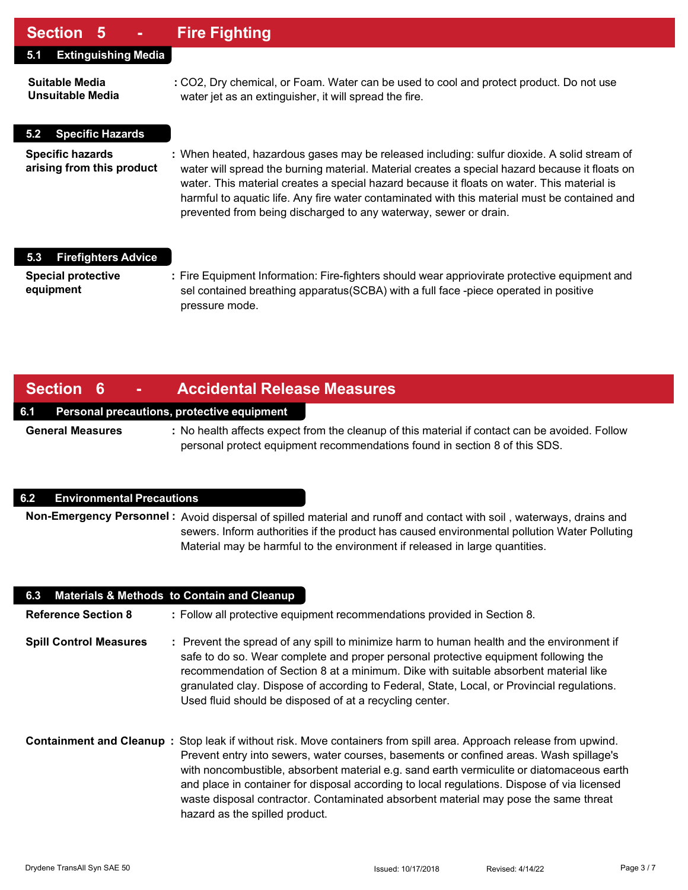## **Section 5 - Fire Fighting**

| UUUNUI V                                             |                                                                                                                                                                                                                                                                                                                                                                                                                                                                  |
|------------------------------------------------------|------------------------------------------------------------------------------------------------------------------------------------------------------------------------------------------------------------------------------------------------------------------------------------------------------------------------------------------------------------------------------------------------------------------------------------------------------------------|
| <b>Extinguishing Media</b><br>5.1                    |                                                                                                                                                                                                                                                                                                                                                                                                                                                                  |
| Suitable Media<br>Unsuitable Media                   | : CO2, Dry chemical, or Foam. Water can be used to cool and protect product. Do not use<br>water jet as an extinguisher, it will spread the fire.                                                                                                                                                                                                                                                                                                                |
| <b>Specific Hazards</b><br>5.2                       |                                                                                                                                                                                                                                                                                                                                                                                                                                                                  |
| <b>Specific hazards</b><br>arising from this product | : When heated, hazardous gases may be released including: sulfur dioxide. A solid stream of<br>water will spread the burning material. Material creates a special hazard because it floats on<br>water. This material creates a special hazard because it floats on water. This material is<br>harmful to aquatic life. Any fire water contaminated with this material must be contained and<br>prevented from being discharged to any waterway, sewer or drain. |
| <b>Firefighters Advice</b><br>5.3                    |                                                                                                                                                                                                                                                                                                                                                                                                                                                                  |
| <b>Special protective</b><br>equipment               | : Fire Equipment Information: Fire-fighters should wear appriovirate protective equipment and<br>sel contained breathing apparatus (SCBA) with a full face -piece operated in positive<br>pressure mode.                                                                                                                                                                                                                                                         |

## **Section 6 - Accidental Release Measures**

#### **6.1 Personal precautions, protective equipment**

**General Measures :** No health affects expect from the cleanup of this material if contact can be avoided. Follow personal protect equipment recommendations found in section 8 of this SDS.

#### **6.2 Environmental Precautions**

**Non-Emergency Personnel :** Avoid dispersal of spilled material and runoff and contact with soil , waterways, drains and sewers. Inform authorities if the product has caused environmental pollution Water Polluting Material may be harmful to the environment if released in large quantities.

| 6.3                           | <b>Materials &amp; Methods to Contain and Cleanup</b>                                                                                                                                                                                                                                                                                                                                                                                                                                                                             |
|-------------------------------|-----------------------------------------------------------------------------------------------------------------------------------------------------------------------------------------------------------------------------------------------------------------------------------------------------------------------------------------------------------------------------------------------------------------------------------------------------------------------------------------------------------------------------------|
| <b>Reference Section 8</b>    | : Follow all protective equipment recommendations provided in Section 8.                                                                                                                                                                                                                                                                                                                                                                                                                                                          |
| <b>Spill Control Measures</b> | : Prevent the spread of any spill to minimize harm to human health and the environment if<br>safe to do so. Wear complete and proper personal protective equipment following the<br>recommendation of Section 8 at a minimum. Dike with suitable absorbent material like<br>granulated clay. Dispose of according to Federal, State, Local, or Provincial regulations.<br>Used fluid should be disposed of at a recycling center.                                                                                                 |
|                               | Containment and Cleanup: Stop leak if without risk. Move containers from spill area. Approach release from upwind.<br>Prevent entry into sewers, water courses, basements or confined areas. Wash spillage's<br>with noncombustible, absorbent material e.g. sand earth vermiculite or diatomaceous earth<br>and place in container for disposal according to local regulations. Dispose of via licensed<br>waste disposal contractor. Contaminated absorbent material may pose the same threat<br>hazard as the spilled product. |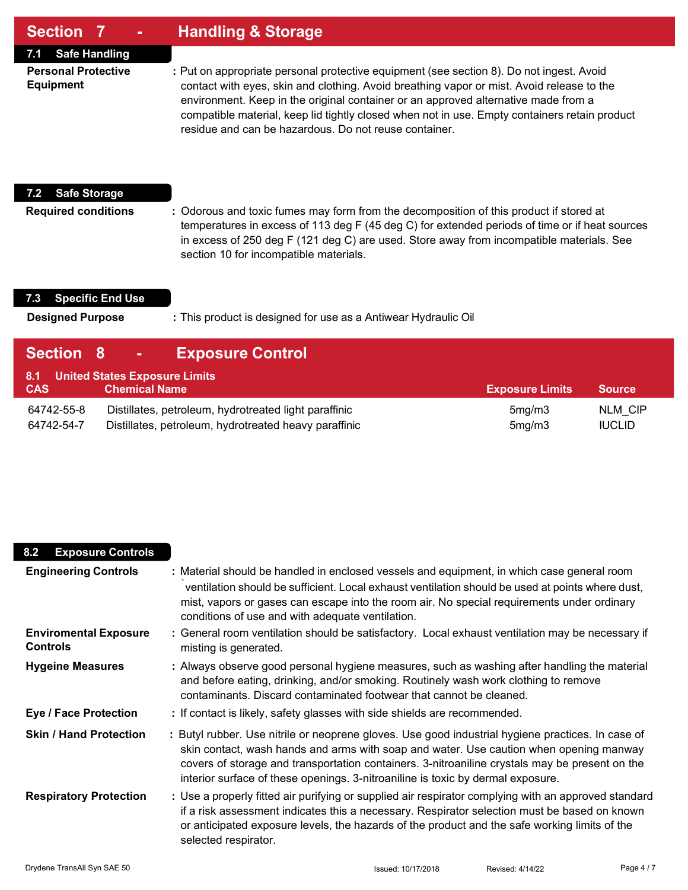### **Section 7 - Handling & Storage**

**7.1 Safe Handling**

**Personal Protective :** Put on appropriate personal protective equipment (see section 8). Do not ingest. Avoid **Equipment** contact with eyes, skin and clothing. Avoid breathing vapor or mist. Avoid release to the environment. Keep in the original container or an approved alternative made from a compatible material, keep lid tightly closed when not in use. Empty containers retain product residue and can be hazardous. Do not reuse container.

#### **7.2 Safe Storage**

**Required conditions :** Odorous and toxic fumes may form from the decomposition of this product if stored at temperatures in excess of 113 deg F (45 deg C) for extended periods of time or if heat sources in excess of 250 deg F (121 deg C) are used. Store away from incompatible materials. See section 10 for incompatible materials.

#### **7.3 Specific End Use**

**Designed Purpose :** This product is designed for use as a Antiwear Hydraulic Oil

| Section 8                | <b>Exposure Control</b><br>$\mathbf{m} \in \mathbb{R}^n$                                                       |                        |                                 |
|--------------------------|----------------------------------------------------------------------------------------------------------------|------------------------|---------------------------------|
| 8.1<br><b>CAS</b>        | <b>United States Exposure Limits</b><br><b>Chemical Name</b>                                                   | <b>Exposure Limits</b> | <b>Source</b>                   |
| 64742-55-8<br>64742-54-7 | Distillates, petroleum, hydrotreated light paraffinic<br>Distillates, petroleum, hydrotreated heavy paraffinic | 5mg/m3<br>5mg/m3       | <b>NLM CIP</b><br><b>IUCLID</b> |

| 8.2<br><b>Exposure Controls</b>                 |                                                                                                                                                                                                                                                                                                                                                                                  |
|-------------------------------------------------|----------------------------------------------------------------------------------------------------------------------------------------------------------------------------------------------------------------------------------------------------------------------------------------------------------------------------------------------------------------------------------|
| <b>Engineering Controls</b>                     | : Material should be handled in enclosed vessels and equipment, in which case general room<br>ventilation should be sufficient. Local exhaust ventilation should be used at points where dust,<br>mist, vapors or gases can escape into the room air. No special requirements under ordinary<br>conditions of use and with adequate ventilation.                                 |
| <b>Enviromental Exposure</b><br><b>Controls</b> | : General room ventilation should be satisfactory. Local exhaust ventilation may be necessary if<br>misting is generated.                                                                                                                                                                                                                                                        |
| <b>Hygeine Measures</b>                         | : Always observe good personal hygiene measures, such as washing after handling the material<br>and before eating, drinking, and/or smoking. Routinely wash work clothing to remove<br>contaminants. Discard contaminated footwear that cannot be cleaned.                                                                                                                       |
| <b>Eye / Face Protection</b>                    | : If contact is likely, safety glasses with side shields are recommended.                                                                                                                                                                                                                                                                                                        |
| <b>Skin / Hand Protection</b>                   | : Butyl rubber. Use nitrile or neoprene gloves. Use good industrial hygiene practices. In case of<br>skin contact, wash hands and arms with soap and water. Use caution when opening manway<br>covers of storage and transportation containers. 3-nitroaniline crystals may be present on the<br>interior surface of these openings. 3-nitroaniline is toxic by dermal exposure. |
| <b>Respiratory Protection</b>                   | : Use a properly fitted air purifying or supplied air respirator complying with an approved standard<br>if a risk assessment indicates this a necessary. Respirator selection must be based on known<br>or anticipated exposure levels, the hazards of the product and the safe working limits of the<br>selected respirator.                                                    |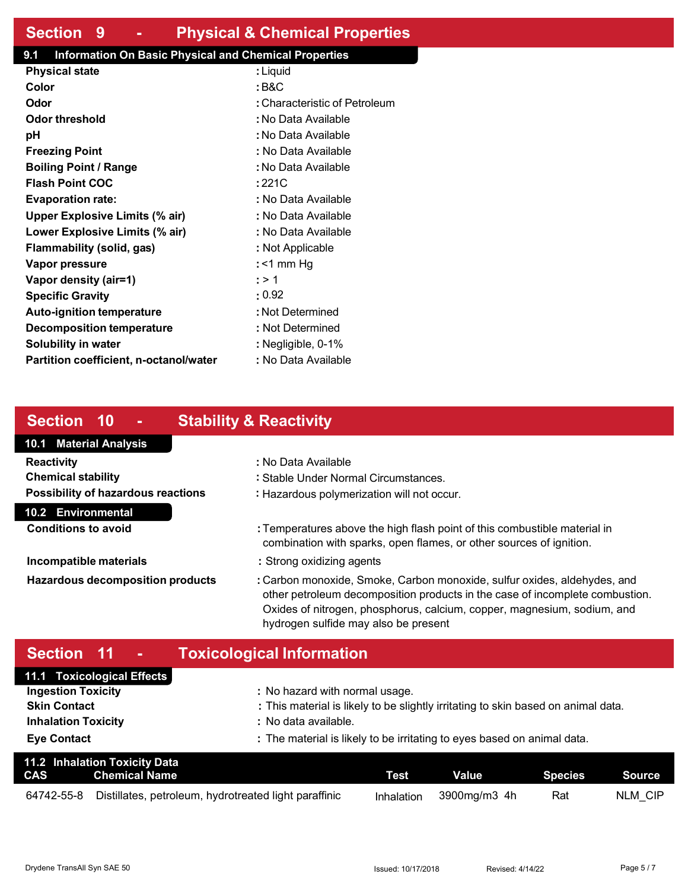# **Section 9 - Physical & Chemical Properties**

### **9.1 Information On Basic Physical and Chemical Properties**

| <b>Physical state</b>                  | : Liquid                      |
|----------------------------------------|-------------------------------|
| Color                                  | : B&C                         |
| Odor                                   | : Characteristic of Petroleum |
| Odor threshold                         | : No Data Available           |
| рH                                     | : No Data Available           |
| <b>Freezing Point</b>                  | : No Data Available           |
| <b>Boiling Point / Range</b>           | : No Data Available           |
| <b>Flash Point COC</b>                 | : 221C                        |
| <b>Evaporation rate:</b>               | : No Data Available           |
| <b>Upper Explosive Limits (% air)</b>  | : No Data Available           |
| Lower Explosive Limits (% air)         | : No Data Available           |
| Flammability (solid, gas)              | : Not Applicable              |
| Vapor pressure                         | : <1 mm Hq                    |
| Vapor density (air=1)                  | : > 1                         |
| <b>Specific Gravity</b>                | $\cdot$ 0.92                  |
| <b>Auto-ignition temperature</b>       | : Not Determined              |
| Decomposition temperature              | : Not Determined              |
| Solubility in water                    | : Negligible, 0-1%            |
| Partition coefficient, n-octanol/water | : No Data Available           |

# **Section 10 - Stability & Reactivity**

### **10.1 Material Analysis 10.2 Environmental Reactivity :** No Data Available **Chemical stability :** Stable Under Normal Circumstances. **Possibility of hazardous reactions :** Hazardous polymerization will not occur. **Conditions to avoid by <b>E : Temperatures above the high flash point of this combustible material in** combination with sparks, open flames, or other sources of ignition. **Incompatible materials incompatible materials incompatible materials Hazardous decomposition products :** Carbon monoxide, Smoke, Carbon monoxide, sulfur oxides, aldehydes, and other petroleum decomposition products in the case of incomplete combustion. Oxides of nitrogen, phosphorus, calcium, copper, magnesium, sodium, and

# **Section 11 - Toxicological Information**

| 11.1 Toxicological Effects |                                                                                   |
|----------------------------|-----------------------------------------------------------------------------------|
| <b>Ingestion Toxicity</b>  | : No hazard with normal usage.                                                    |
| <b>Skin Contact</b>        | : This material is likely to be slightly irritating to skin based on animal data. |
| <b>Inhalation Toxicity</b> | : No data available.                                                              |
| <b>Eye Contact</b>         | : The material is likely to be irritating to eyes based on animal data.           |

hydrogen sulfide may also be present

|            | <b>11.2 Inhalation Toxicity Data</b><br><b>CAS</b> Chemical Name | Test | Value                   | Species Species | Source  |
|------------|------------------------------------------------------------------|------|-------------------------|-----------------|---------|
| 64742-55-8 | Distillates, petroleum, hydrotreated light paraffinic            |      | Inhalation 3900mg/m3 4h | Rat             | NLM CIP |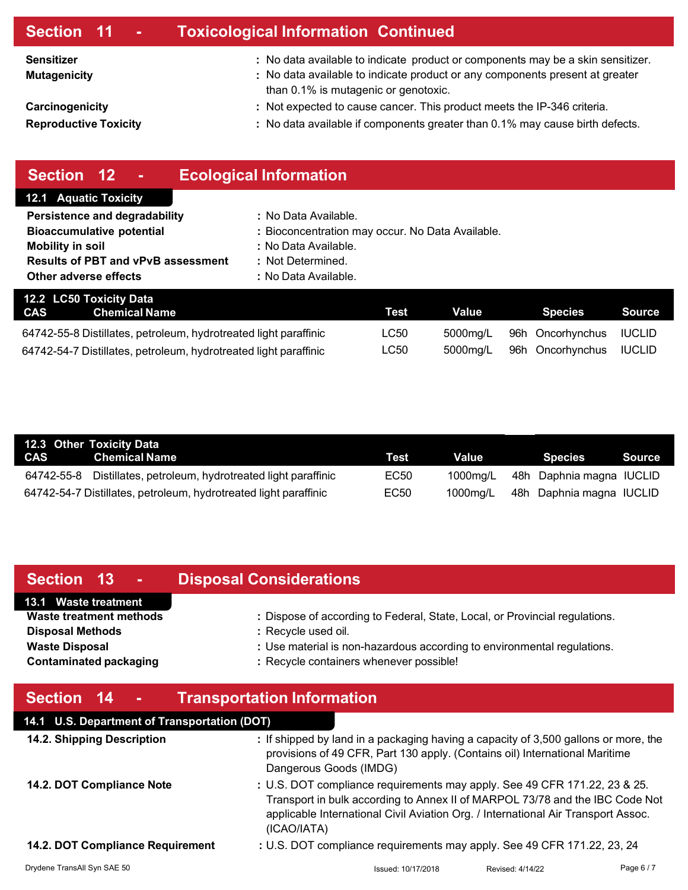| Section 11 -                                    | <b>Toxicological Information Continued</b>                                                                                                                                                              |
|-------------------------------------------------|---------------------------------------------------------------------------------------------------------------------------------------------------------------------------------------------------------|
| <b>Sensitizer</b><br><b>Mutagenicity</b>        | : No data available to indicate product or components may be a skin sensitizer.<br>: No data available to indicate product or any components present at greater<br>than 0.1% is mutagenic or genotoxic. |
| Carcinogenicity<br><b>Reproductive Toxicity</b> | : Not expected to cause cancer. This product meets the IP-346 criteria.<br>: No data available if components greater than 0.1% may cause birth defects.                                                 |
|                                                 |                                                                                                                                                                                                         |

| Section 12<br>٠                                                  | <b>Ecological Information</b>                    |             |              |                  |               |
|------------------------------------------------------------------|--------------------------------------------------|-------------|--------------|------------------|---------------|
| <b>12.1 Aquatic Toxicity</b>                                     |                                                  |             |              |                  |               |
| Persistence and degradability                                    | : No Data Available.                             |             |              |                  |               |
| <b>Bioaccumulative potential</b>                                 | : Bioconcentration may occur. No Data Available. |             |              |                  |               |
| <b>Mobility in soil</b>                                          | : No Data Available.                             |             |              |                  |               |
| <b>Results of PBT and vPvB assessment</b>                        | : Not Determined.                                |             |              |                  |               |
| Other adverse effects                                            | : No Data Available.                             |             |              |                  |               |
| 12.2 LC50 Toxicity Data                                          |                                                  |             |              |                  |               |
| <b>CAS</b><br><b>Chemical Name</b>                               |                                                  | <b>Test</b> | <b>Value</b> | <b>Species</b>   | <b>Source</b> |
| 64742-55-8 Distillates, petroleum, hydrotreated light paraffinic |                                                  | LC50        | 5000mg/L     | 96h Oncorhynchus | <b>IUCLID</b> |
| 64742-54-7 Distillates, petroleum, hydrotreated light paraffinic |                                                  | LC50        | 5000mg/L     | 96h Oncorhynchus | <b>IUCLID</b> |

| 12.3 Other Toxicity Data                                         |      |          |                          |        |
|------------------------------------------------------------------|------|----------|--------------------------|--------|
| CAS Chemical Name                                                | Test | Value    | <b>Species</b>           | Source |
| 64742-55-8 Distillates, petroleum, hydrotreated light paraffinic | EC50 | 1000ma/L | 48h Daphnia magna IUCLID |        |
| 64742-54-7 Distillates, petroleum, hydrotreated light paraffinic | EC50 | 1000mg/L | 48h Daphnia magna IUCLID |        |

| Section 13 -                   | <b>Disposal Considerations</b>                                              |
|--------------------------------|-----------------------------------------------------------------------------|
| 13.1 Waste treatment           |                                                                             |
| <b>Waste treatment methods</b> | : Dispose of according to Federal, State, Local, or Provincial regulations. |
| <b>Disposal Methods</b>        | : Recycle used oil.                                                         |
| <b>Waste Disposal</b>          | : Use material is non-hazardous according to environmental regulations.     |
| <b>Contaminated packaging</b>  | : Recycle containers whenever possible!                                     |
|                                |                                                                             |
|                                |                                                                             |

| Section 14<br>$\sim 100$                     | <b>Transportation Information</b>                                                                                                                                                                                                                             |                  |          |
|----------------------------------------------|---------------------------------------------------------------------------------------------------------------------------------------------------------------------------------------------------------------------------------------------------------------|------------------|----------|
| 14.1 U.S. Department of Transportation (DOT) |                                                                                                                                                                                                                                                               |                  |          |
| 14.2. Shipping Description                   | : If shipped by land in a packaging having a capacity of 3,500 gallons or more, the<br>provisions of 49 CFR, Part 130 apply. (Contains oil) International Maritime<br>Dangerous Goods (IMDG)                                                                  |                  |          |
| 14.2. DOT Compliance Note                    | : U.S. DOT compliance requirements may apply. See 49 CFR 171.22, 23 & 25.<br>Transport in bulk according to Annex II of MARPOL 73/78 and the IBC Code Not<br>applicable International Civil Aviation Org. / International Air Transport Assoc.<br>(ICAO/IATA) |                  |          |
| 14.2. DOT Compliance Requirement             | : U.S. DOT compliance requirements may apply. See 49 CFR 171.22, 23, 24                                                                                                                                                                                       |                  |          |
| Drydene TransAll Syn SAE 50                  | Issued: 10/17/2018                                                                                                                                                                                                                                            | Revised: 4/14/22 | Page 6/7 |